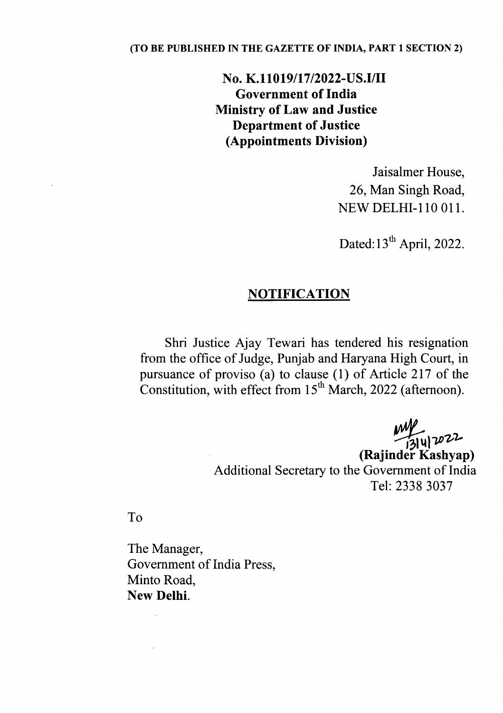#### (TO BE PUBLISHED IN THE GAZETTE OF INDIA, PART 1 SECTION 2)

# No. K.II019/17/2022-US.I/II Government of India Ministry of Law and Justice Department of Justice (Appointments Division)

Jaisalmer House, 26, Man Singh Road, NEW DELHI-lID OIl.

Dated: 13<sup>th</sup> April, 2022.

### **NOTIFICATION**

Shri Justice Ajay Tewari has tendered his resignation from the office of Judge, Punjab and Haryana High Court, in pursuance of proviso (a) to clause  $(1)$  of Article 217 of the Constitution, with effect from  $15<sup>th</sup>$  March, 2022 (afternoon).

> $-13|4|7$ (Rajinder Kashyap) Additional Secretary to the Government of India Tel: 2338 3037

To

The Manager, Government of India Press, Minto Road, New Delhi.